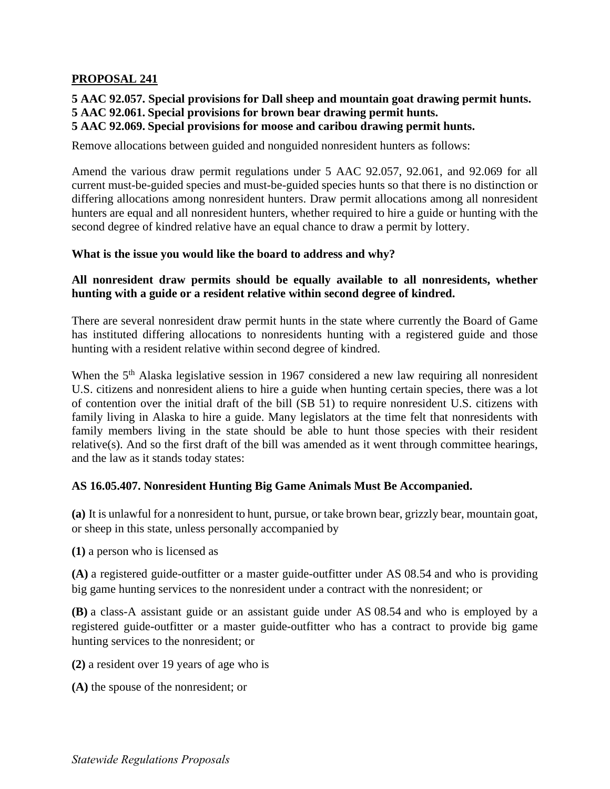# **PROPOSAL 241**

**5 AAC 92.057. Special provisions for Dall sheep and mountain goat drawing permit hunts. 5 AAC 92.061. Special provisions for brown bear drawing permit hunts.** 

## **5 AAC 92.069. Special provisions for moose and caribou drawing permit hunts.**

Remove allocations between guided and nonguided nonresident hunters as follows:

 second degree of kindred relative have an equal chance to draw a permit by lottery. Amend the various draw permit regulations under 5 AAC 92.057, 92.061, and 92.069 for all current must-be-guided species and must-be-guided species hunts so that there is no distinction or differing allocations among nonresident hunters. Draw permit allocations among all nonresident hunters are equal and all nonresident hunters, whether required to hire a guide or hunting with the

#### **What is the issue you would like the board to address and why?**

### **All nonresident draw permits should be equally available to all nonresidents, whether hunting with a guide or a resident relative within second degree of kindred.**

 There are several nonresident draw permit hunts in the state where currently the Board of Game has instituted differing allocations to nonresidents hunting with a registered guide and those hunting with a resident relative within second degree of kindred.

 family members living in the state should be able to hunt those species with their resident When the 5<sup>th</sup> Alaska legislative session in 1967 considered a new law requiring all nonresident U.S. citizens and nonresident aliens to hire a guide when hunting certain species, there was a lot of contention over the initial draft of the bill (SB 51) to require nonresident U.S. citizens with family living in Alaska to hire a guide. Many legislators at the time felt that nonresidents with relative(s). And so the first draft of the bill was amended as it went through committee hearings, and the law as it stands today states:

#### **AS 16.05.407. Nonresident Hunting Big Game Animals Must Be Accompanied.**

**(a)** It is unlawful for a nonresident to hunt, pursue, or take brown bear, grizzly bear, mountain goat, or sheep in this state, unless personally accompanied by

**(1)** a person who is licensed as

**(A)** a registered guide-outfitter or a master guide-outfitter under AS 08.54 and who is providing big game hunting services to the nonresident under a contract with the nonresident; or

**(B)** a class-A assistant guide or an assistant guide under AS 08.54 and who is employed by a registered guide-outfitter or a master guide-outfitter who has a contract to provide big game hunting services to the nonresident; or

- **(2)** a resident over 19 years of age who is
- **(A)** the spouse of the nonresident; or